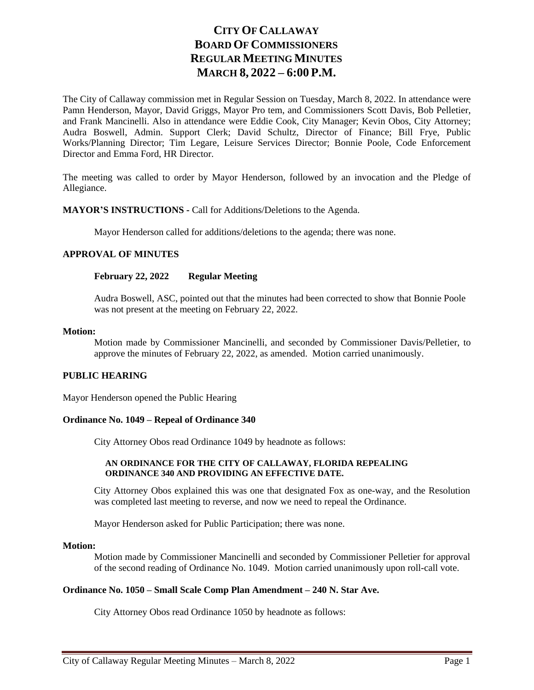# **CITY OF CALLAWAY BOARD OF COMMISSIONERS REGULAR MEETING MINUTES MARCH 8, 2022 – 6:00 P.M.**

The City of Callaway commission met in Regular Session on Tuesday, March 8, 2022. In attendance were Pamn Henderson, Mayor, David Griggs, Mayor Pro tem, and Commissioners Scott Davis, Bob Pelletier, and Frank Mancinelli. Also in attendance were Eddie Cook, City Manager; Kevin Obos, City Attorney; Audra Boswell, Admin. Support Clerk; David Schultz, Director of Finance; Bill Frye, Public Works/Planning Director; Tim Legare, Leisure Services Director; Bonnie Poole, Code Enforcement Director and Emma Ford, HR Director.

The meeting was called to order by Mayor Henderson, followed by an invocation and the Pledge of Allegiance.

# **MAYOR'S INSTRUCTIONS -** Call for Additions/Deletions to the Agenda.

Mayor Henderson called for additions/deletions to the agenda; there was none.

# **APPROVAL OF MINUTES**

# **February 22, 2022 Regular Meeting**

Audra Boswell, ASC, pointed out that the minutes had been corrected to show that Bonnie Poole was not present at the meeting on February 22, 2022.

#### **Motion:**

Motion made by Commissioner Mancinelli, and seconded by Commissioner Davis/Pelletier, to approve the minutes of February 22, 2022, as amended. Motion carried unanimously.

# **PUBLIC HEARING**

Mayor Henderson opened the Public Hearing

# **Ordinance No. 1049 – Repeal of Ordinance 340**

City Attorney Obos read Ordinance 1049 by headnote as follows:

### **AN ORDINANCE FOR THE CITY OF CALLAWAY, FLORIDA REPEALING ORDINANCE 340 AND PROVIDING AN EFFECTIVE DATE.**

City Attorney Obos explained this was one that designated Fox as one-way, and the Resolution was completed last meeting to reverse, and now we need to repeal the Ordinance.

Mayor Henderson asked for Public Participation; there was none.

### **Motion:**

Motion made by Commissioner Mancinelli and seconded by Commissioner Pelletier for approval of the second reading of Ordinance No. 1049. Motion carried unanimously upon roll-call vote.

# **Ordinance No. 1050 – Small Scale Comp Plan Amendment – 240 N. Star Ave.**

City Attorney Obos read Ordinance 1050 by headnote as follows: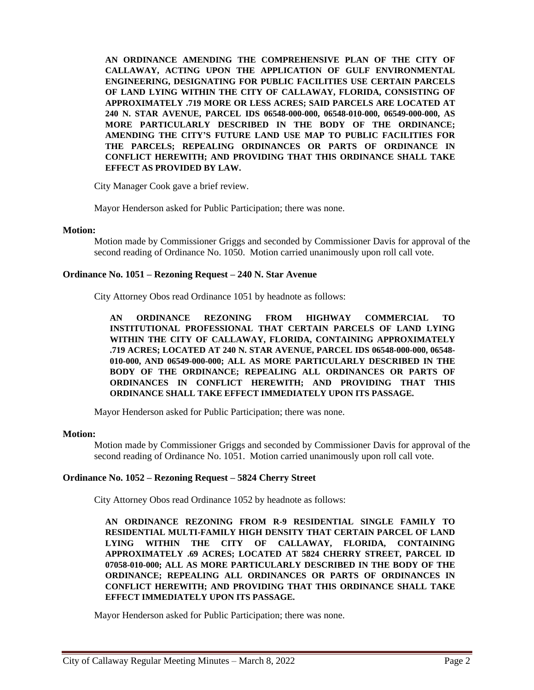**AN ORDINANCE AMENDING THE COMPREHENSIVE PLAN OF THE CITY OF CALLAWAY, ACTING UPON THE APPLICATION OF GULF ENVIRONMENTAL ENGINEERING, DESIGNATING FOR PUBLIC FACILITIES USE CERTAIN PARCELS OF LAND LYING WITHIN THE CITY OF CALLAWAY, FLORIDA, CONSISTING OF APPROXIMATELY .719 MORE OR LESS ACRES; SAID PARCELS ARE LOCATED AT 240 N. STAR AVENUE, PARCEL IDS 06548-000-000, 06548-010-000, 06549-000-000, AS MORE PARTICULARLY DESCRIBED IN THE BODY OF THE ORDINANCE; AMENDING THE CITY'S FUTURE LAND USE MAP TO PUBLIC FACILITIES FOR THE PARCELS; REPEALING ORDINANCES OR PARTS OF ORDINANCE IN CONFLICT HEREWITH; AND PROVIDING THAT THIS ORDINANCE SHALL TAKE EFFECT AS PROVIDED BY LAW.**

City Manager Cook gave a brief review.

Mayor Henderson asked for Public Participation; there was none.

### **Motion:**

Motion made by Commissioner Griggs and seconded by Commissioner Davis for approval of the second reading of Ordinance No. 1050. Motion carried unanimously upon roll call vote.

### **Ordinance No. 1051 – Rezoning Request – 240 N. Star Avenue**

City Attorney Obos read Ordinance 1051 by headnote as follows:

**AN ORDINANCE REZONING FROM HIGHWAY COMMERCIAL TO INSTITUTIONAL PROFESSIONAL THAT CERTAIN PARCELS OF LAND LYING WITHIN THE CITY OF CALLAWAY, FLORIDA, CONTAINING APPROXIMATELY .719 ACRES; LOCATED AT 240 N. STAR AVENUE, PARCEL IDS 06548-000-000, 06548- 010-000, AND 06549-000-000; ALL AS MORE PARTICULARLY DESCRIBED IN THE BODY OF THE ORDINANCE; REPEALING ALL ORDINANCES OR PARTS OF ORDINANCES IN CONFLICT HEREWITH; AND PROVIDING THAT THIS ORDINANCE SHALL TAKE EFFECT IMMEDIATELY UPON ITS PASSAGE.**

Mayor Henderson asked for Public Participation; there was none.

#### **Motion:**

Motion made by Commissioner Griggs and seconded by Commissioner Davis for approval of the second reading of Ordinance No. 1051. Motion carried unanimously upon roll call vote.

# **Ordinance No. 1052 – Rezoning Request – 5824 Cherry Street**

City Attorney Obos read Ordinance 1052 by headnote as follows:

**AN ORDINANCE REZONING FROM R-9 RESIDENTIAL SINGLE FAMILY TO RESIDENTIAL MULTI-FAMILY HIGH DENSITY THAT CERTAIN PARCEL OF LAND LYING WITHIN THE CITY OF CALLAWAY, FLORIDA, CONTAINING APPROXIMATELY .69 ACRES; LOCATED AT 5824 CHERRY STREET, PARCEL ID 07058-010-000; ALL AS MORE PARTICULARLY DESCRIBED IN THE BODY OF THE ORDINANCE; REPEALING ALL ORDINANCES OR PARTS OF ORDINANCES IN CONFLICT HEREWITH; AND PROVIDING THAT THIS ORDINANCE SHALL TAKE EFFECT IMMEDIATELY UPON ITS PASSAGE.**

Mayor Henderson asked for Public Participation; there was none.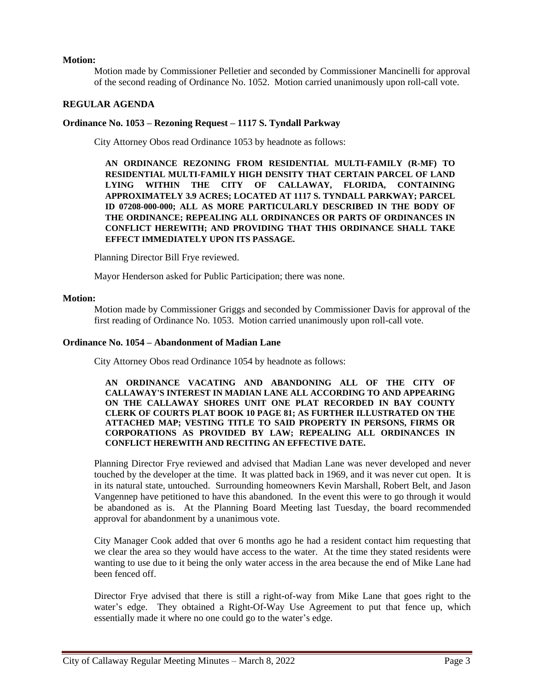# **Motion:**

Motion made by Commissioner Pelletier and seconded by Commissioner Mancinelli for approval of the second reading of Ordinance No. 1052. Motion carried unanimously upon roll-call vote.

# **REGULAR AGENDA**

### **Ordinance No. 1053 – Rezoning Request – 1117 S. Tyndall Parkway**

City Attorney Obos read Ordinance 1053 by headnote as follows:

**AN ORDINANCE REZONING FROM RESIDENTIAL MULTI-FAMILY (R-MF) TO RESIDENTIAL MULTI-FAMILY HIGH DENSITY THAT CERTAIN PARCEL OF LAND LYING WITHIN THE CITY OF CALLAWAY, FLORIDA, CONTAINING APPROXIMATELY 3.9 ACRES; LOCATED AT 1117 S. TYNDALL PARKWAY; PARCEL ID 07208-000-000; ALL AS MORE PARTICULARLY DESCRIBED IN THE BODY OF THE ORDINANCE; REPEALING ALL ORDINANCES OR PARTS OF ORDINANCES IN CONFLICT HEREWITH; AND PROVIDING THAT THIS ORDINANCE SHALL TAKE EFFECT IMMEDIATELY UPON ITS PASSAGE.**

Planning Director Bill Frye reviewed.

Mayor Henderson asked for Public Participation; there was none.

#### **Motion:**

Motion made by Commissioner Griggs and seconded by Commissioner Davis for approval of the first reading of Ordinance No. 1053. Motion carried unanimously upon roll-call vote.

### **Ordinance No. 1054 – Abandonment of Madian Lane**

City Attorney Obos read Ordinance 1054 by headnote as follows:

**AN ORDINANCE VACATING AND ABANDONING ALL OF THE CITY OF CALLAWAY'S INTEREST IN MADIAN LANE ALL ACCORDING TO AND APPEARING ON THE CALLAWAY SHORES UNIT ONE PLAT RECORDED IN BAY COUNTY CLERK OF COURTS PLAT BOOK 10 PAGE 81; AS FURTHER ILLUSTRATED ON THE ATTACHED MAP; VESTING TITLE TO SAID PROPERTY IN PERSONS, FIRMS OR CORPORATIONS AS PROVIDED BY LAW; REPEALING ALL ORDINANCES IN CONFLICT HEREWITH AND RECITING AN EFFECTIVE DATE.**

Planning Director Frye reviewed and advised that Madian Lane was never developed and never touched by the developer at the time. It was platted back in 1969, and it was never cut open. It is in its natural state, untouched. Surrounding homeowners Kevin Marshall, Robert Belt, and Jason Vangennep have petitioned to have this abandoned. In the event this were to go through it would be abandoned as is. At the Planning Board Meeting last Tuesday, the board recommended approval for abandonment by a unanimous vote.

City Manager Cook added that over 6 months ago he had a resident contact him requesting that we clear the area so they would have access to the water. At the time they stated residents were wanting to use due to it being the only water access in the area because the end of Mike Lane had been fenced off.

Director Frye advised that there is still a right-of-way from Mike Lane that goes right to the water's edge. They obtained a Right-Of-Way Use Agreement to put that fence up, which essentially made it where no one could go to the water's edge.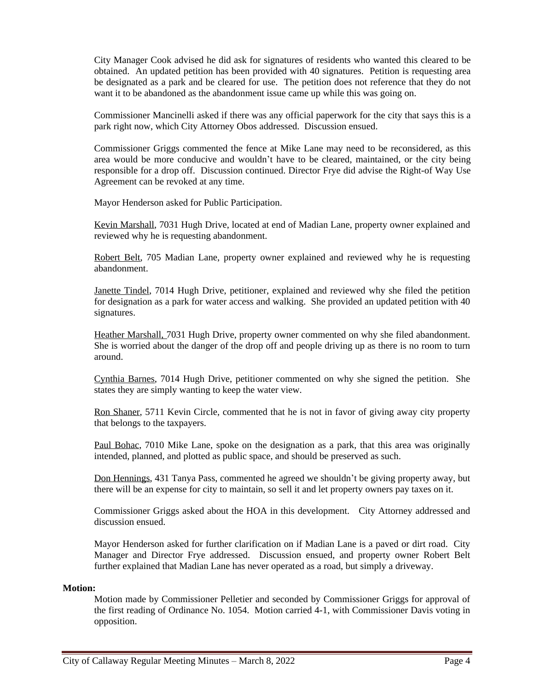City Manager Cook advised he did ask for signatures of residents who wanted this cleared to be obtained. An updated petition has been provided with 40 signatures. Petition is requesting area be designated as a park and be cleared for use. The petition does not reference that they do not want it to be abandoned as the abandonment issue came up while this was going on.

Commissioner Mancinelli asked if there was any official paperwork for the city that says this is a park right now, which City Attorney Obos addressed. Discussion ensued.

Commissioner Griggs commented the fence at Mike Lane may need to be reconsidered, as this area would be more conducive and wouldn't have to be cleared, maintained, or the city being responsible for a drop off. Discussion continued. Director Frye did advise the Right-of Way Use Agreement can be revoked at any time.

Mayor Henderson asked for Public Participation.

Kevin Marshall, 7031 Hugh Drive, located at end of Madian Lane, property owner explained and reviewed why he is requesting abandonment.

Robert Belt, 705 Madian Lane, property owner explained and reviewed why he is requesting abandonment.

Janette Tindel, 7014 Hugh Drive, petitioner, explained and reviewed why she filed the petition for designation as a park for water access and walking. She provided an updated petition with 40 signatures.

Heather Marshall, 7031 Hugh Drive, property owner commented on why she filed abandonment. She is worried about the danger of the drop off and people driving up as there is no room to turn around.

Cynthia Barnes, 7014 Hugh Drive, petitioner commented on why she signed the petition. She states they are simply wanting to keep the water view.

Ron Shaner, 5711 Kevin Circle, commented that he is not in favor of giving away city property that belongs to the taxpayers.

Paul Bohac, 7010 Mike Lane, spoke on the designation as a park, that this area was originally intended, planned, and plotted as public space, and should be preserved as such.

Don Hennings, 431 Tanya Pass, commented he agreed we shouldn't be giving property away, but there will be an expense for city to maintain, so sell it and let property owners pay taxes on it.

Commissioner Griggs asked about the HOA in this development. City Attorney addressed and discussion ensued.

Mayor Henderson asked for further clarification on if Madian Lane is a paved or dirt road. City Manager and Director Frye addressed. Discussion ensued, and property owner Robert Belt further explained that Madian Lane has never operated as a road, but simply a driveway.

#### **Motion:**

Motion made by Commissioner Pelletier and seconded by Commissioner Griggs for approval of the first reading of Ordinance No. 1054. Motion carried 4-1, with Commissioner Davis voting in opposition.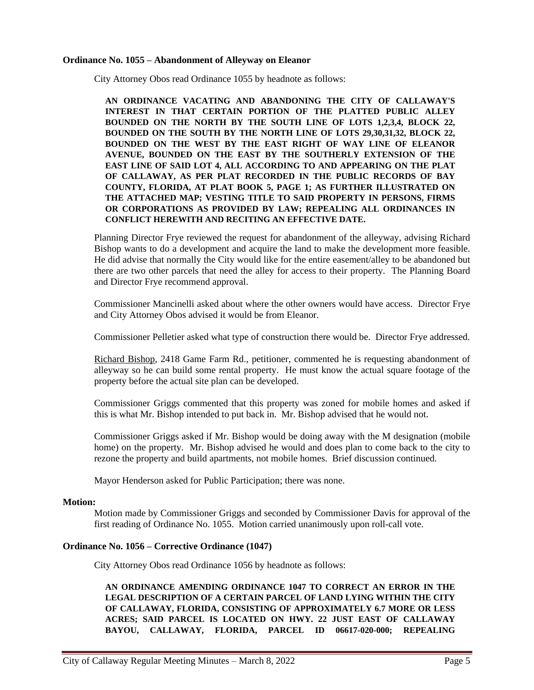### **Ordinance No. 1055 – Abandonment of Alleyway on Eleanor**

City Attorney Obos read Ordinance 1055 by headnote as follows:

**AN ORDINANCE VACATING AND ABANDONING THE CITY OF CALLAWAY'S INTEREST IN THAT CERTAIN PORTION OF THE PLATTED PUBLIC ALLEY BOUNDED ON THE NORTH BY THE SOUTH LINE OF LOTS 1,2,3,4, BLOCK 22, BOUNDED ON THE SOUTH BY THE NORTH LINE OF LOTS 29,30,31,32, BLOCK 22, BOUNDED ON THE WEST BY THE EAST RIGHT OF WAY LINE OF ELEANOR AVENUE, BOUNDED ON THE EAST BY THE SOUTHERLY EXTENSION OF THE EAST LINE OF SAID LOT 4, ALL ACCORDING TO AND APPEARING ON THE PLAT OF CALLAWAY, AS PER PLAT RECORDED IN THE PUBLIC RECORDS OF BAY COUNTY, FLORIDA, AT PLAT BOOK 5, PAGE 1; AS FURTHER ILLUSTRATED ON THE ATTACHED MAP; VESTING TITLE TO SAID PROPERTY IN PERSONS, FIRMS OR CORPORATIONS AS PROVIDED BY LAW; REPEALING ALL ORDINANCES IN CONFLICT HEREWITH AND RECITING AN EFFECTIVE DATE.**

Planning Director Frye reviewed the request for abandonment of the alleyway, advising Richard Bishop wants to do a development and acquire the land to make the development more feasible. He did advise that normally the City would like for the entire easement/alley to be abandoned but there are two other parcels that need the alley for access to their property. The Planning Board and Director Frye recommend approval.

Commissioner Mancinelli asked about where the other owners would have access. Director Frye and City Attorney Obos advised it would be from Eleanor.

Commissioner Pelletier asked what type of construction there would be. Director Frye addressed.

Richard Bishop, 2418 Game Farm Rd., petitioner, commented he is requesting abandonment of alleyway so he can build some rental property. He must know the actual square footage of the property before the actual site plan can be developed.

Commissioner Griggs commented that this property was zoned for mobile homes and asked if this is what Mr. Bishop intended to put back in. Mr. Bishop advised that he would not.

Commissioner Griggs asked if Mr. Bishop would be doing away with the M designation (mobile home) on the property. Mr. Bishop advised he would and does plan to come back to the city to rezone the property and build apartments, not mobile homes. Brief discussion continued.

Mayor Henderson asked for Public Participation; there was none.

### **Motion:**

Motion made by Commissioner Griggs and seconded by Commissioner Davis for approval of the first reading of Ordinance No. 1055. Motion carried unanimously upon roll-call vote.

# **Ordinance No. 1056 – Corrective Ordinance (1047)**

City Attorney Obos read Ordinance 1056 by headnote as follows:

**AN ORDINANCE AMENDING ORDINANCE 1047 TO CORRECT AN ERROR IN THE LEGAL DESCRIPTION OF A CERTAIN PARCEL OF LAND LYING WITHIN THE CITY OF CALLAWAY, FLORIDA, CONSISTING OF APPROXIMATELY 6.7 MORE OR LESS ACRES; SAID PARCEL IS LOCATED ON HWY. 22 JUST EAST OF CALLAWAY BAYOU, CALLAWAY, FLORIDA, PARCEL ID 06617-020-000; REPEALING**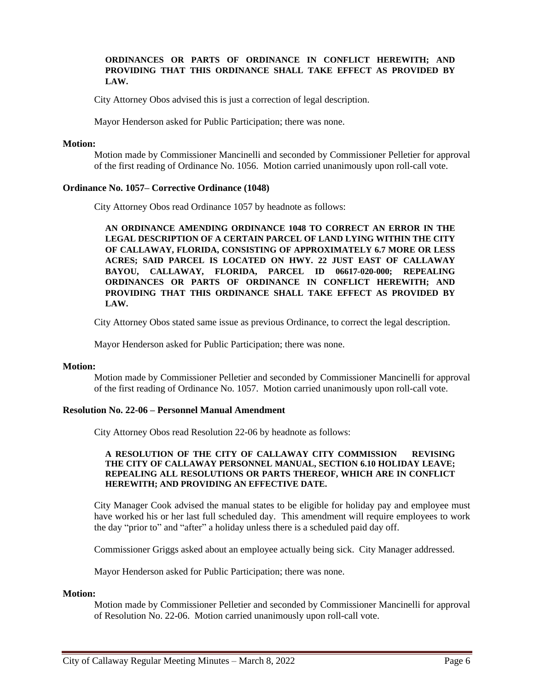### **ORDINANCES OR PARTS OF ORDINANCE IN CONFLICT HEREWITH; AND PROVIDING THAT THIS ORDINANCE SHALL TAKE EFFECT AS PROVIDED BY LAW.**

City Attorney Obos advised this is just a correction of legal description.

Mayor Henderson asked for Public Participation; there was none.

### **Motion:**

Motion made by Commissioner Mancinelli and seconded by Commissioner Pelletier for approval of the first reading of Ordinance No. 1056. Motion carried unanimously upon roll-call vote.

### **Ordinance No. 1057– Corrective Ordinance (1048)**

City Attorney Obos read Ordinance 1057 by headnote as follows:

**AN ORDINANCE AMENDING ORDINANCE 1048 TO CORRECT AN ERROR IN THE LEGAL DESCRIPTION OF A CERTAIN PARCEL OF LAND LYING WITHIN THE CITY OF CALLAWAY, FLORIDA, CONSISTING OF APPROXIMATELY 6.7 MORE OR LESS ACRES; SAID PARCEL IS LOCATED ON HWY. 22 JUST EAST OF CALLAWAY BAYOU, CALLAWAY, FLORIDA, PARCEL ID 06617-020-000; REPEALING ORDINANCES OR PARTS OF ORDINANCE IN CONFLICT HEREWITH; AND PROVIDING THAT THIS ORDINANCE SHALL TAKE EFFECT AS PROVIDED BY LAW.**

City Attorney Obos stated same issue as previous Ordinance, to correct the legal description.

Mayor Henderson asked for Public Participation; there was none.

#### **Motion:**

Motion made by Commissioner Pelletier and seconded by Commissioner Mancinelli for approval of the first reading of Ordinance No. 1057. Motion carried unanimously upon roll-call vote.

### **Resolution No. 22-06 – Personnel Manual Amendment**

City Attorney Obos read Resolution 22-06 by headnote as follows:

#### **A RESOLUTION OF THE CITY OF CALLAWAY CITY COMMISSION REVISING THE CITY OF CALLAWAY PERSONNEL MANUAL, SECTION 6.10 HOLIDAY LEAVE; REPEALING ALL RESOLUTIONS OR PARTS THEREOF, WHICH ARE IN CONFLICT HEREWITH; AND PROVIDING AN EFFECTIVE DATE.**

City Manager Cook advised the manual states to be eligible for holiday pay and employee must have worked his or her last full scheduled day. This amendment will require employees to work the day "prior to" and "after" a holiday unless there is a scheduled paid day off.

Commissioner Griggs asked about an employee actually being sick. City Manager addressed.

Mayor Henderson asked for Public Participation; there was none.

### **Motion:**

Motion made by Commissioner Pelletier and seconded by Commissioner Mancinelli for approval of Resolution No. 22-06. Motion carried unanimously upon roll-call vote.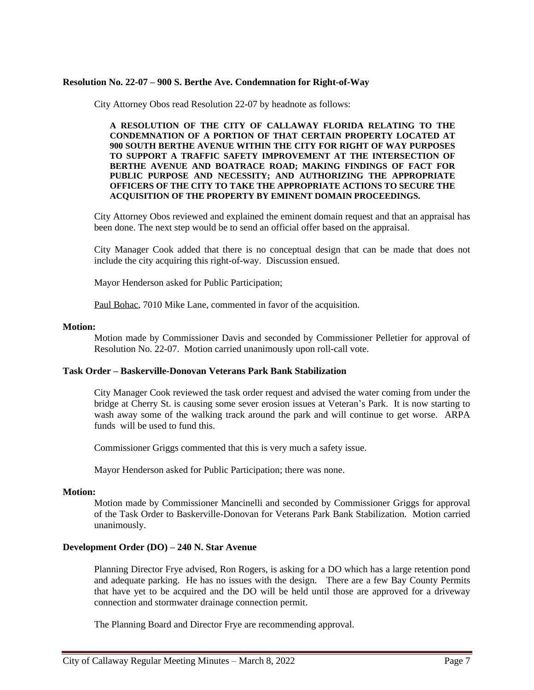### **Resolution No. 22-07 – 900 S. Berthe Ave. Condemnation for Right-of-Way**

City Attorney Obos read Resolution 22-07 by headnote as follows:

**A RESOLUTION OF THE CITY OF CALLAWAY FLORIDA RELATING TO THE CONDEMNATION OF A PORTION OF THAT CERTAIN PROPERTY LOCATED AT 900 SOUTH BERTHE AVENUE WITHIN THE CITY FOR RIGHT OF WAY PURPOSES TO SUPPORT A TRAFFIC SAFETY IMPROVEMENT AT THE INTERSECTION OF BERTHE AVENUE AND BOATRACE ROAD; MAKING FINDINGS OF FACT FOR PUBLIC PURPOSE AND NECESSITY; AND AUTHORIZING THE APPROPRIATE OFFICERS OF THE CITY TO TAKE THE APPROPRIATE ACTIONS TO SECURE THE ACQUISITION OF THE PROPERTY BY EMINENT DOMAIN PROCEEDINGS.**

City Attorney Obos reviewed and explained the eminent domain request and that an appraisal has been done. The next step would be to send an official offer based on the appraisal.

City Manager Cook added that there is no conceptual design that can be made that does not include the city acquiring this right-of-way. Discussion ensued.

Mayor Henderson asked for Public Participation;

Paul Bohac, 7010 Mike Lane, commented in favor of the acquisition.

#### **Motion:**

Motion made by Commissioner Davis and seconded by Commissioner Pelletier for approval of Resolution No. 22-07. Motion carried unanimously upon roll-call vote.

#### **Task Order – Baskerville-Donovan Veterans Park Bank Stabilization**

City Manager Cook reviewed the task order request and advised the water coming from under the bridge at Cherry St. is causing some sever erosion issues at Veteran's Park. It is now starting to wash away some of the walking track around the park and will continue to get worse. ARPA funds will be used to fund this.

Commissioner Griggs commented that this is very much a safety issue.

Mayor Henderson asked for Public Participation; there was none.

#### **Motion:**

Motion made by Commissioner Mancinelli and seconded by Commissioner Griggs for approval of the Task Order to Baskerville-Donovan for Veterans Park Bank Stabilization. Motion carried unanimously.

#### **Development Order (DO) – 240 N. Star Avenue**

Planning Director Frye advised, Ron Rogers, is asking for a DO which has a large retention pond and adequate parking. He has no issues with the design. There are a few Bay County Permits that have yet to be acquired and the DO will be held until those are approved for a driveway connection and stormwater drainage connection permit.

The Planning Board and Director Frye are recommending approval.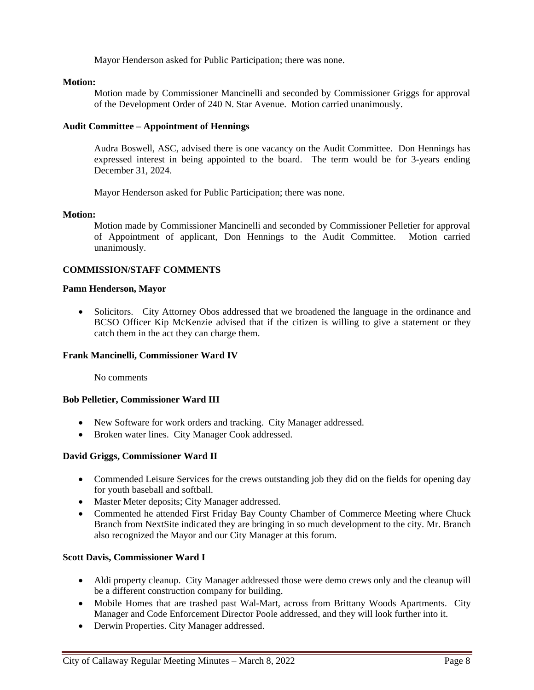Mayor Henderson asked for Public Participation; there was none.

# **Motion:**

Motion made by Commissioner Mancinelli and seconded by Commissioner Griggs for approval of the Development Order of 240 N. Star Avenue. Motion carried unanimously.

# **Audit Committee – Appointment of Hennings**

Audra Boswell, ASC, advised there is one vacancy on the Audit Committee. Don Hennings has expressed interest in being appointed to the board. The term would be for 3-years ending December 31, 2024.

Mayor Henderson asked for Public Participation; there was none.

# **Motion:**

Motion made by Commissioner Mancinelli and seconded by Commissioner Pelletier for approval of Appointment of applicant, Don Hennings to the Audit Committee. Motion carried unanimously.

# **COMMISSION/STAFF COMMENTS**

# **Pamn Henderson, Mayor**

• Solicitors. City Attorney Obos addressed that we broadened the language in the ordinance and BCSO Officer Kip McKenzie advised that if the citizen is willing to give a statement or they catch them in the act they can charge them.

# **Frank Mancinelli, Commissioner Ward IV**

No comments

# **Bob Pelletier, Commissioner Ward III**

- New Software for work orders and tracking. City Manager addressed.
- Broken water lines. City Manager Cook addressed.

# **David Griggs, Commissioner Ward II**

- Commended Leisure Services for the crews outstanding job they did on the fields for opening day for youth baseball and softball.
- Master Meter deposits; City Manager addressed.
- Commented he attended First Friday Bay County Chamber of Commerce Meeting where Chuck Branch from NextSite indicated they are bringing in so much development to the city. Mr. Branch also recognized the Mayor and our City Manager at this forum.

# **Scott Davis, Commissioner Ward I**

- Aldi property cleanup. City Manager addressed those were demo crews only and the cleanup will be a different construction company for building.
- Mobile Homes that are trashed past Wal-Mart, across from Brittany Woods Apartments. City Manager and Code Enforcement Director Poole addressed, and they will look further into it.
- Derwin Properties. City Manager addressed.